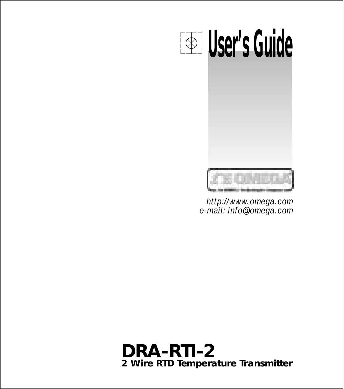

*http://www.omega.com e-mail: info@omega.com*

**DRA-RTI-2 2 Wire RTD Temperature Transmitter**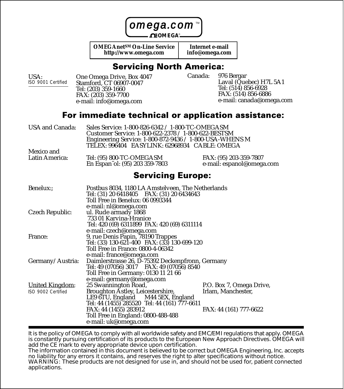

**OMEGAnetSM On-Line Service http://www.omega.com**

**Internet e-mail info@omega.com**

#### **Servicing North America:**

USA: ISO 9001 Certified

One Omega Drive, Box 4047 Stamford, CT 06907-0047 EA X: (203) 359-7700 FAX: (203) 359-7700 e-mail: info@omega.com

976 Bergar Laval (Quebec) H7L 5A1 Tel: (514) 856-6928 FAX: (514) 856-6886 e-mail: canada@omega.com Canada:

#### For immediate technical or application assistance:

| USA and Canada: | Sales Service: 1-800-826-6342 / 1-800-TC-OMEGASM        |
|-----------------|---------------------------------------------------------|
|                 | Customer Service: 1-800-622-2378 / 1-800-622-BESTSM     |
|                 | Engineering Service: 1-800-872-9436 / 1-800-USA-WHENS M |
|                 | TELEX 996404 FASYLINK 62968934 CABLE OMEGA              |
| Mexico and      |                                                         |

Latin America: Tel: (95) 800-TC-OMEGASM FAX: (95) 203-359-7807 En Espan^ol: (95) 203 359-7803

#### **Servicing Europe:**

| Benelux::                                    | Postbus 8034, 1180 LA Amstelveen. The Netherlands<br>Tel: (31) 20 6418405  FAX: (31) 20 6434643<br>Toll Free in Benelux: 06 0993344<br>e-mail: nl@omega.com             |                                                                          |
|----------------------------------------------|-------------------------------------------------------------------------------------------------------------------------------------------------------------------------|--------------------------------------------------------------------------|
| Czech Republic:                              | ul. Rude armady 1868<br>733 01 Karvina-Hranice<br>Tel: 420 (69) 6311899 FAX: 420 (69) 6311114<br>e-mail: czech@omega.com                                                |                                                                          |
| France:                                      | 9, rue Denis Papin, 78190 Trappes<br>Tel: (33) 130-621-400 FAX: (33) 130-699-120<br>Toll Free in France: 0800-4-06342<br>e-mail: france@omega.com                       |                                                                          |
| Germany/Austria:                             | Daimlerstrasse 26, D-75392 Deckenpfronn, Germany<br>Tel: 49 (07056) 3017 FAX: 49 (07056) 8540<br>Toll Free in Germany: 0130 11 21 66<br>e-mail: germany@omega.com       |                                                                          |
| <b>United Kingdom:</b><br>ISO 9002 Certified | 25 Swannington Road,<br>Broughton Astley, Leicestershire,<br>LE9 6TU, England M44 5EX, England<br>Tel: 44 (1455) 285520 Tel: 44 (161) 777-6611<br>FAX: 44 (1455) 283912 | P.O. Box 7, Omega Drive,<br>Irlam. Manchester.<br>FAX: 44 (161) 777-6622 |
|                                              | Toll Free in England: 0800-488-488<br>e-mail: uk@omega.com                                                                                                              |                                                                          |

It is the policy of OMEGA to comply with all worldwide safety and EMC/EMI regulations that apply. OMEGA is constantly pursuing certification of its products to the European New Approach Directives. OMEGA will add the CE mark to every appropriate device upon certification.

The information contained in this document is believed to be correct but OMEGA Engineering, Inc. accepts no liability for any errors it contains, and reserves the right to alter specifications without notice. WARNING: These products are not designed for use in, and should not be used for, patient connected applications.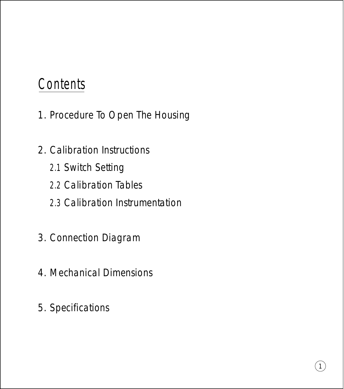# **Contents**

- 1. Procedure To Open The Housing
- 2. Calibration Instructions
	- 2.1 Switch Setting
	- 2.2 Calibration Tables
	- 2.3 Calibration Instrumentation
- 3. Connection Diagram
- 4. Mechanical Dimensions
- 5. Specifications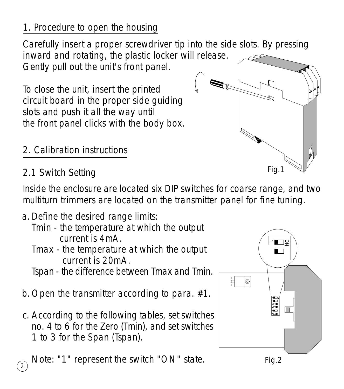## 1. Procedure to open the housing

Carefully insert a proper screwdriver tip into the side slots. By pressing inward and rotating, the plastic locker will release.

Gently pull out the unit's front panel.

To close the unit, insert the printed circuit board in the proper side guiding slots and push it all the way until the front panel clicks with the body box.

- 2. Calibration instructions
- 2.1 Switch Setting

Inside the enclosure are located six DIP switches for coarse range, and two multiturn trimmers are located on the transmitter panel for fine tuning.

- a. Define the desired range limits:
	- Tmin the temperature at which the output current is 4mA.
	- Tmax the temperature at which the output current is 20mA.
	- Tspan the difference between Tmax and Tmin.
- b. Open the transmitter according to para. #1.
- According to the following tables, set switches c. no. 4 to 6 for the Zero (Tmin), and set switches 1 to 3 for the Span (Tspan).

2 Note: "1" represent the switch "ON" state.





Fig.2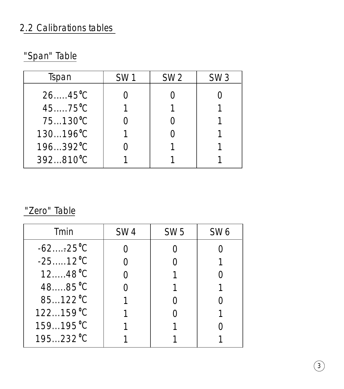## 2.2 Calibrations tables

"Span" Table

| Tspan             | SW <sub>1</sub> | SW <sub>2</sub> | SW <sub>3</sub> |
|-------------------|-----------------|-----------------|-----------------|
| $2645^{\circ}C$   |                 |                 |                 |
| $4575^{\circ}$ C  |                 |                 |                 |
| $75130^9C$        |                 |                 |                 |
| $130196$ C        |                 |                 |                 |
| $196392^{\circ}C$ |                 |                 |                 |
| 392.810 C         |                 |                 |                 |

"Zero" Table

| Tmin                       | SW <sub>4</sub> | SW <sub>5</sub> | SW <sub>6</sub> |
|----------------------------|-----------------|-----------------|-----------------|
| $-62$ $-25$ <sup>°</sup> C | O               |                 |                 |
| $-2512$ <sup>o</sup> C     | O               |                 |                 |
| $1248^{\circ}$ C           |                 |                 |                 |
| $4885^{\circ}$ C           |                 |                 |                 |
| 85.122 °C                  |                 |                 |                 |
| $122159^{\circ}C$          |                 |                 |                 |
| $159195$ <sup>0</sup> C    |                 |                 |                 |
| 195.232°C                  |                 |                 |                 |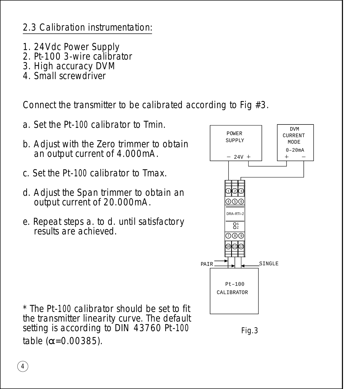2.3 Calibration instrumentation:

- 1. 24Vdc Power Supply
- 2. Pt-100 3-wire calibrator
- 3. High accuracy DVM
- 4. Small screwdriver

Connect the transmitter to be calibrated according to Fig #3.

- a. Set the Pt-100 calibrator to Tmin.
- b. Adjust with the Zero trimmer to obtain an output current of 4.000mA.
- c. Set the Pt-100 calibrator to Tmax.
- d. Adjust the Span trimmer to obtain an output current of 20.000mA.
- e. Repeat steps a. to d. until satisfactory results are achieved.



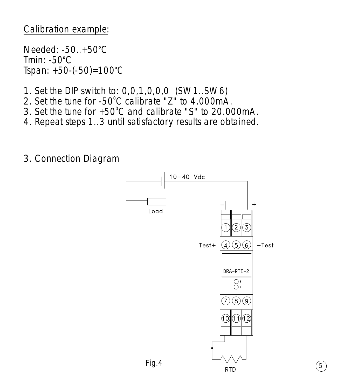## Calibration example:

Needed: -50..+50°C Tmin: -50°C Tspan: +50-(-50)=100°C

- 1. Set the DIP switch to: 0,0,1,0,0,0 (SW1..SW6)
- 2. Set the tune for  $-50^{\circ}$ C calibrate "Z" to 4.000mA.
- 3. Set the tune for  $+50^{\circ}$ C and calibrate "S" to 20.000mA.
- 4. Repeat steps 1..3 until satisfactory results are obtained.

3. Connection Diagram

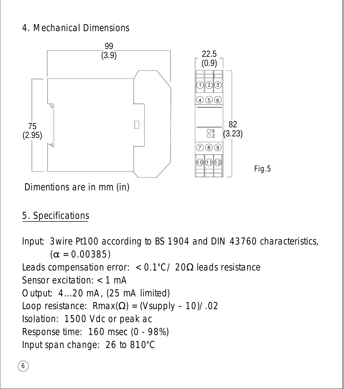## 4. Mechanical Dimensions



Dimentions are in mm (in)

## 5. Specifications

Input: 3wire Pt100 according to BS 1904 and DIN 43760 characteristics,  $(\alpha = 0.00385)$ Leads compensation error: < 0.1°C/20Ω leads resistance Sensor excitation: < 1 mA Output: 4...20 mA, (25 mA limited) Loop resistance: Rmax( $\Omega$ ) = (Vsupply – 10)/.02 Isolation: 1500 Vdc or peak ac Response time: 160 msec (0 - 98%) Input span change: 26 to 810°C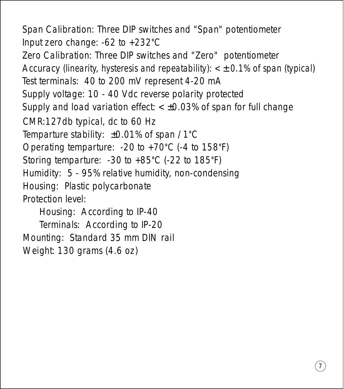CMR:127db typical, dc to 60 Hz Temparture stability:  $\pm 0.01\%$  of span /1°C Operating temparture:  $-20$  to  $+70^{\circ}$ C ( $-4$  to  $158^{\circ}$ F) Storing temparture:  $-30$  to  $+85^{\circ}$ C ( $-22$  to  $185^{\circ}$ F) Humidity: 5 - 95% relative humidity, non-condensing Housing: Plastic polycarbonate Protection level: Housing: According to IP-40 Span Calibration: Three DIP switches and "Span" potentiometer Input zero change: -62 to +232°C Zero Calibration: Three DIP switches and "Zero" potentiometer Accuracy (linearity, hysteresis and repeatability):  $< \pm 0.1$ % of span (typical) Test terminals: 40 to 200 mV represent 4-20 mA Supply voltage: 10 - 40 Vdc reverse polarity protected Supply and load variation effect:  $< +0.03\%$  of span for full change

 Terminals: According to IP-20 Mounting: Standard 35 mm DIN rail Weight: 130 grams (4.6 oz)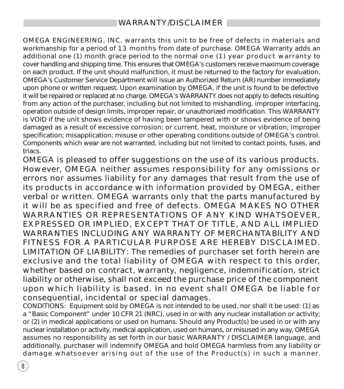OMEGA ENGINEERING, INC. warrants this unit to be free of defects in materials and workmanship for a period of 13 months from date of purchase. OMEGA Warranty adds an additional one (1) month grace period to the normal one (1) year product warranty to cover handling and shipping time. This ensures that OMEGA's customers receive maximum coverage on each product. If the unit should malfunction, it must be returned to the factory for evaluation. OMEGA's Customer Service Department will issue an Authorized Return (AR) number immediately upon phone or written request. Upon examination by OMEGA, if the unit is found to be defective it will be repaired or replaced at no charge. OMEGA's WARRANTY does not apply to defects resulting from any action of the purchaser, including but not limited to mishandling, improper interfacing, operation outside of design limits, improper repair, or unauthorized modification. This WARRANTY is VOID if the unit shows evidence of having been tampered with or shows evidence of being damaged as a result of excessive corrosion; or current, heat, moisture or vibration; improper specification; misapplication; misuse or other operating conditions outside of OMEGA's control. Components which wear are not warranted, including but not limited to contact points, fuses, and triacs.

OMEGA is pleased to offer suggestions on the use of its various products. However, OMEGA neither assumes responsibility for any omissions or errors nor assumes liability for any damages that result from the use of its products in accordance with information provided by OMEGA, either verbal or written. OMEGA warrants only that the parts manufactured by it will be as specified and free of defects. OMEGA MAKES NO OTHER WARRANTIES OR REPRESENTATIONS OF ANY KIND WHATSOEVER, EXPRESSED OR IMPLIED, EXCEPT THAT OF TITLE, AND ALL IMPLIED WARRANTIES INCLUDING ANY WARRANTY OF MERCHANTABILITY AND FITNESS FOR A PARTICULAR PURPOSE ARE HEREBY DISCLAIMED. LIMITATION OF LIABILITY: The remedies of purchaser set forth herein are exclusive and the total liability of OMEGA with respect to this order, whether based on contract, warranty, negligence, indemnification, strict liability or otherwise, shall not exceed the purchase price of the component upon which liability is based. In no event shall OMEGA be liable for consequential, incidental or special damages.

CONDITIONS: Equipment sold by OMEGA is not intended to be used, nor shall it be used: (1) as a "Basic Component" under 10 CFR 21 (NRC), used in or with any nuclear installation or activity; or (2) in medical applications or used on humans. Should any Product(s) be used in or with any nuclear installation or activity, medical application, used on humans, or misused in any way, OMEGA assumes no responsibility as set forth in our basic WARRANTY / DISCLAIMER language, and additionally, purchaser will indemnify OMEGA and hold OMEGA harmless from any liability or damage whatsoever arising out of the use of the Product(s) in such a manner.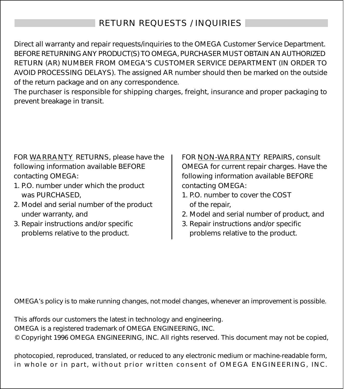### RETURN REQUESTS / INQUIRIES

Direct all warranty and repair requests/inquiries to the OMEGA Customer Service Department. BEFORE RETURNING ANY PRODUCT(S) TO OMEGA, PURCHASER MUST OBTAIN AN AUTHORIZED RETURN (AR) NUMBER FROM OMEGA'S CUSTOMER SERVICE DEPARTMENT (IN ORDER TO AVOID PROCESSING DELAYS). The assigned AR number should then be marked on the outside of the return package and on any correspondence.

The purchaser is responsible for shipping charges, freight, insurance and proper packaging to prevent breakage in transit.

FOR WARRANTY RETURNS, please have the following information available BEFORE contacting OMEGA:

- 1. P.O. number under which the product was PURCHASED,
- 2. Model and serial number of the product under warranty, and
- 3. Repair instructions and/or specific problems relative to the product.

FOR NON-WARRANTY REPAIRS, consult OMEGA for current repair charges. Have the following information available BEFORE contacting OMEGA:

- 1. P.O. number to cover the COST of the repair,
- 2. Model and serial number of product, and
- 3. Repair instructions and/or specific problems relative to the product.

OMEGA's policy is to make running changes, not model changes, whenever an improvement is possible.

This affords our customers the latest in technology and engineering. OMEGA is a registered trademark of OMEGA ENGINEERING, INC. © Copyright 1996 OMEGA ENGINEERING, INC. All rights reserved. This document may not be copied,

photocopied, reproduced, translated, or reduced to any electronic medium or machine-readable form, in whole or in part, without prior written consent of OMEGA ENGINEERING, INC.